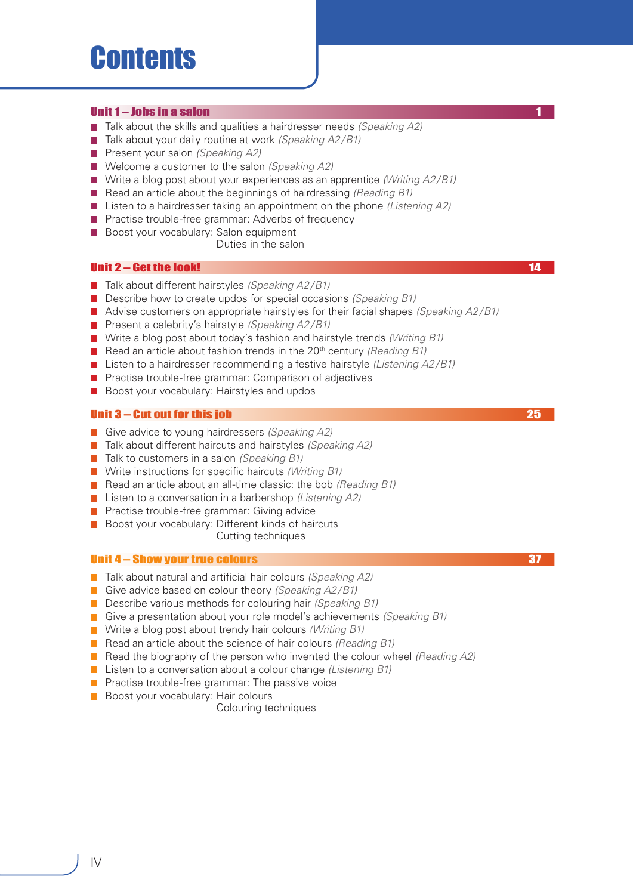# **Contents**

## Unit 1 – Jobs in a salon

- Talk about the skills and qualities a hairdresser needs *(Speaking A2)*
- Talk about your daily routine at work *(Speaking A2/B1)*  **Tale**
- **Present your salon** *(Speaking A2)*
- Welcome a customer to the salon *(Speaking A2)*
- Write a blog post about your experiences as an apprentice *(Writing A2/B1)*
- Read an article about the beginnings of hairdressing *(Reading B1)*
- Listen to a hairdresser taking an appointment on the phone *(Listening A2)*
- **Practise trouble-free grammar: Adverbs of frequency**
- Boost your vocabulary: Salon equipment

Duties in the salon

# Unit 2 – Get the look! 14 Million of the local control of the local control of the local control of the local control of the local control of the local control of the local control of the local control of the local control

- Talk about different hairstyles *(Speaking A2/B1)*
- Describe how to create updos for special occasions *(Speaking B1)*
- Advise customers on appropriate hairstyles for their facial shapes *(Speaking A2/B1)*
- **Present a celebrity's hairstyle** *(Speaking A2/B1)*
- Write a blog post about today's fashion and hairstyle trends *(Writing B1)*
- Read an article about fashion trends in the 20<sup>th</sup> century *(Reading B1)*
- Listen to a hairdresser recommending a festive hairstyle *(Listening A2/B1)*
- **Practise trouble-free grammar: Comparison of adjectives**
- **Boost your vocabulary: Hairstyles and updos**

## Unit 3 – Cut out for this job 25

- Give advice to young hairdressers *(Speaking A2)*
- Talk about different haircuts and hairstyles *(Speaking A2)*
- Talk to customers in a salon *(Speaking B1)*
- Write instructions for specific haircuts *(Writing B1)*
- Read an article about an all-time classic: the bob *(Reading B1)*
- Listen to a conversation in a barbershop *(Listening A2)*
- **Practise trouble-free grammar: Giving advice**
- Boost your vocabulary: Different kinds of haircuts

Cutting techniques

#### Unit 4 – Show your true colours 37

- Talk about natural and artificial hair colours *(Speaking A2)*
- Give advice based on colour theory *(Speaking A2/B1)*
- Describe various methods for colouring hair *(Speaking B1)*
- Give a presentation about your role model's achievements *(Speaking B1)*
- Write a blog post about trendy hair colours *(Writing B1)*
- Read an article about the science of hair colours *(Reading B1)*
- Read the biography of the person who invented the colour wheel *(Reading A2)*
- Listen to a conversation about a colour change *(Listening B1)*
- **Practise trouble-free grammar: The passive voice**
- **Boost your vocabulary: Hair colours** 
	- Colouring techniques